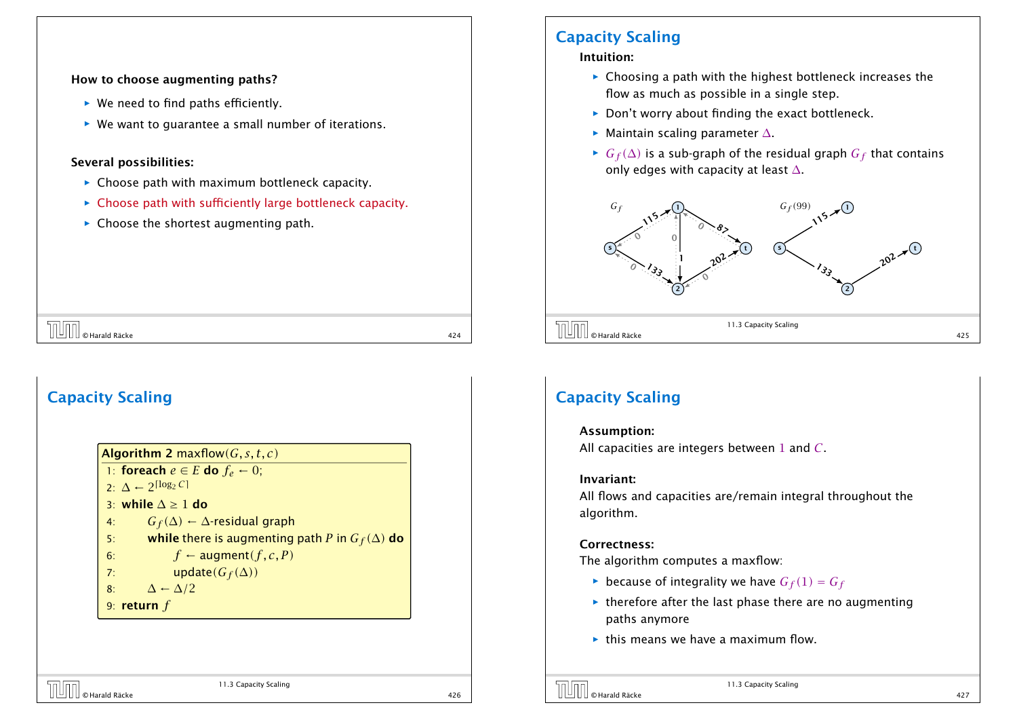#### How to choose augmenting paths?

- ▶ We need to find paths efficiently.
- ▶ We want to quarantee a small number of iterations.

### Several possibilities:

Capacity Scaling

- **EX** Choose path with maximum bottleneck capacity.
- **For Choose path with sufficiently large bottleneck capacity.**

 $\overline{O}$   $\overline{O}$   $\overline{O}$  Harald Räcke 424

▶ Choose the shortest augmenting path.

Algorithm 2 maxflow*(G, s, t, c)* 1: foreach  $e \in E$  do  $f_e \leftarrow 0$ ;

4: *G*<sub>*f*</sub>( $\Delta$ ) ←  $\Delta$ -residual graph

6:  $f \leftarrow \text{augment}(f, c, P)$ 

7: update $(G_f(\Delta))$ 

2:  $\Delta$  ← 2<sup>[log<sub>2</sub> *C*]</sup> 3: while  $\Delta \ge 1$  do

8:  $\Delta \leftarrow \Delta/2$ 9: return *f*

## Capacity Scaling

#### Intuition:

- ► Choosing a path with the highest bottleneck increases the flow as much as possible in a single step.
- ▶ Don't worry about finding the exact bottleneck.
- *ñ* Maintain scaling parameter ∆.
- *►*  $G_f(\Delta)$  is a sub-graph of the residual graph  $G_f$  that contains only edges with capacity at least ∆.



## Capacity Scaling

#### Assumption:

All capacities are integers between 1 and *C*.

#### Invariant:

All flows and capacities are/remain integral throughout the algorithm.

#### Correctness:

The algorithm computes a maxflow:

- $\blacktriangleright$  because of integrality we have  $G_f(1) = G_f$
- $\rightarrow$  therefore after the last phase there are no augmenting paths anymore
- **For** this means we have a maximum flow.

11.3 Capacity Scaling

5: while there is augmenting path *P* in  $G_f(\Delta)$  do